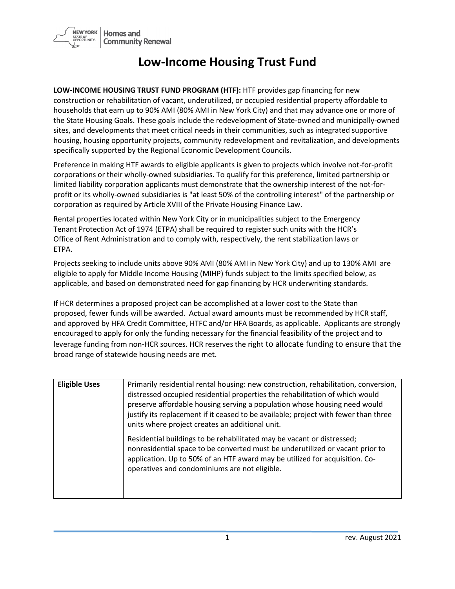

## **Low-Income Housing Trust Fund**

**LOW-INCOME HOUSING TRUST FUND PROGRAM (HTF):** HTF provides gap financing for new construction or rehabilitation of vacant, underutilized, or occupied residential property affordable to households that earn up to 90% AMI (80% AMI in New York City) and that may advance one or more of the State Housing Goals. These goals include the redevelopment of State-owned and municipally-owned sites, and developments that meet critical needs in their communities, such as integrated supportive housing, housing opportunity projects, community redevelopment and revitalization, and developments specifically supported by the Regional Economic Development Councils.

Preference in making HTF awards to eligible applicants is given to projects which involve not-for-profit corporations or their wholly-owned subsidiaries. To qualify for this preference, limited partnership or limited liability corporation applicants must demonstrate that the ownership interest of the not-forprofit or its wholly-owned subsidiaries is "at least 50% of the controlling interest" of the partnership or corporation as required by Article XVIII of the Private Housing Finance Law.

Rental properties located within New York City or in municipalities subject to the Emergency Tenant Protection Act of 1974 (ETPA) shall be required to register such units with the HCR's Office of Rent Administration and to comply with, respectively, the rent stabilization laws or ETPA.

Projects seeking to include units above 90% AMI (80% AMI in New York City) and up to 130% AMI are eligible to apply for Middle Income Housing (MIHP) funds subject to the limits specified below, as applicable, and based on demonstrated need for gap financing by HCR underwriting standards.

If HCR determines a proposed project can be accomplished at a lower cost to the State than proposed, fewer funds will be awarded. Actual award amounts must be recommended by HCR staff, and approved by HFA Credit Committee, HTFC and/or HFA Boards, as applicable. Applicants are strongly encouraged to apply for only the funding necessary for the financial feasibility of the project and to leverage funding from non-HCR sources. HCR reserves the right to allocate funding to ensure that the broad range of statewide housing needs are met.

| <b>Eligible Uses</b> | Primarily residential rental housing: new construction, rehabilitation, conversion,<br>distressed occupied residential properties the rehabilitation of which would<br>preserve affordable housing serving a population whose housing need would<br>justify its replacement if it ceased to be available; project with fewer than three<br>units where project creates an additional unit. |
|----------------------|--------------------------------------------------------------------------------------------------------------------------------------------------------------------------------------------------------------------------------------------------------------------------------------------------------------------------------------------------------------------------------------------|
|                      | Residential buildings to be rehabilitated may be vacant or distressed;<br>nonresidential space to be converted must be underutilized or vacant prior to<br>application. Up to 50% of an HTF award may be utilized for acquisition. Co-<br>operatives and condominiums are not eligible.                                                                                                    |